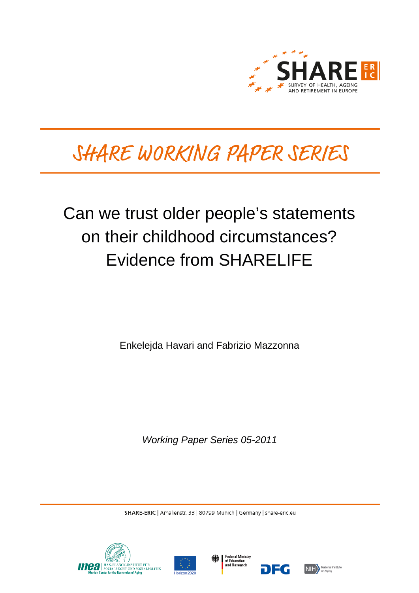

# SHARE WORKING PAPER SERIES

# Can we trust older people's statements on their childhood circumstances? Evidence from SHARELIFE

Enkelejda Havari and Fabrizio Mazzonna

*Working Paper Series 05-2011*

SHARE-ERIC | Amalienstr. 33 | 80799 Munich | Germany | share-eric.eu







7EG

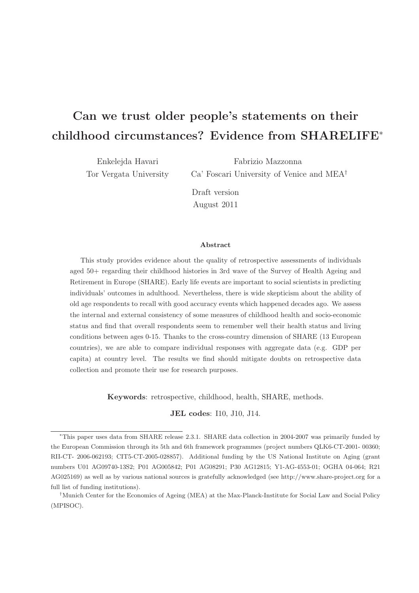# Can we trust older people's statements on their childhood circumstances? Evidence from SHARELIFE<sup>∗</sup>

Enkelejda Havari Tor Vergata University

Fabrizio Mazzonna Ca' Foscari University of Venice and MEA†

Draft version August 2011

#### Abstract

This study provides evidence about the quality of retrospective assessments of individuals aged 50+ regarding their childhood histories in 3rd wave of the Survey of Health Ageing and Retirement in Europe (SHARE). Early life events are important to social scientists in predicting individuals' outcomes in adulthood. Nevertheless, there is wide skepticism about the ability of old age respondents to recall with good accuracy events which happened decades ago. We assess the internal and external consistency of some measures of childhood health and socio-economic status and find that overall respondents seem to remember well their health status and living conditions between ages 0-15. Thanks to the cross-country dimension of SHARE (13 European countries), we are able to compare individual responses with aggregate data (e.g. GDP per capita) at country level. The results we find should mitigate doubts on retrospective data collection and promote their use for research purposes.

Keywords: retrospective, childhood, health, SHARE, methods.

JEL codes: I10, J10, J14.

<sup>∗</sup>This paper uses data from SHARE release 2.3.1. SHARE data collection in 2004-2007 was primarily funded by the European Commission through its 5th and 6th framework programmes (project numbers QLK6-CT-2001- 00360; RII-CT- 2006-062193; CIT5-CT-2005-028857). Additional funding by the US National Institute on Aging (grant numbers U01 AG09740-13S2; P01 AG005842; P01 AG08291; P30 AG12815; Y1-AG-4553-01; OGHA 04-064; R21 AG025169) as well as by various national sources is gratefully acknowledged (see http://www.share-project.org for a full list of funding institutions).

<sup>†</sup>Munich Center for the Economics of Ageing (MEA) at the Max-Planck-Institute for Social Law and Social Policy (MPISOC).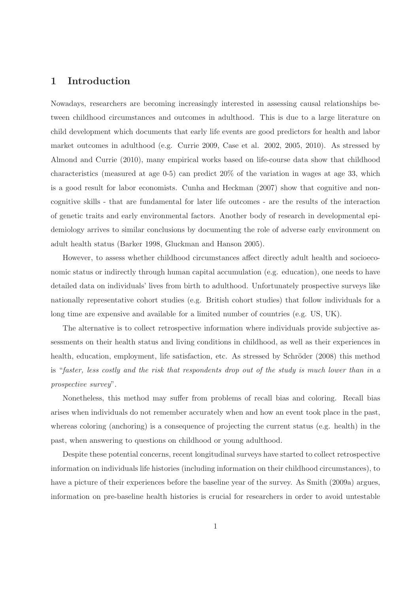# 1 Introduction

Nowadays, researchers are becoming increasingly interested in assessing causal relationships between childhood circumstances and outcomes in adulthood. This is due to a large literature on child development which documents that early life events are good predictors for health and labor market outcomes in adulthood (e.g. Currie 2009, Case et al. 2002, 2005, 2010). As stressed by Almond and Currie (2010), many empirical works based on life-course data show that childhood characteristics (measured at age 0-5) can predict 20% of the variation in wages at age 33, which is a good result for labor economists. Cunha and Heckman (2007) show that cognitive and noncognitive skills - that are fundamental for later life outcomes - are the results of the interaction of genetic traits and early environmental factors. Another body of research in developmental epidemiology arrives to similar conclusions by documenting the role of adverse early environment on adult health status (Barker 1998, Gluckman and Hanson 2005).

However, to assess whether childhood circumstances affect directly adult health and socioeconomic status or indirectly through human capital accumulation (e.g. education), one needs to have detailed data on individuals' lives from birth to adulthood. Unfortunately prospective surveys like nationally representative cohort studies (e.g. British cohort studies) that follow individuals for a long time are expensive and available for a limited number of countries (e.g. US, UK).

The alternative is to collect retrospective information where individuals provide subjective assessments on their health status and living conditions in childhood, as well as their experiences in health, education, employment, life satisfaction, etc. As stressed by Schröder (2008) this method is "faster, less costly and the risk that respondents drop out of the study is much lower than in a prospective survey".

Nonetheless, this method may suffer from problems of recall bias and coloring. Recall bias arises when individuals do not remember accurately when and how an event took place in the past, whereas coloring (anchoring) is a consequence of projecting the current status (e.g. health) in the past, when answering to questions on childhood or young adulthood.

Despite these potential concerns, recent longitudinal surveys have started to collect retrospective information on individuals life histories (including information on their childhood circumstances), to have a picture of their experiences before the baseline year of the survey. As Smith (2009a) argues, information on pre-baseline health histories is crucial for researchers in order to avoid untestable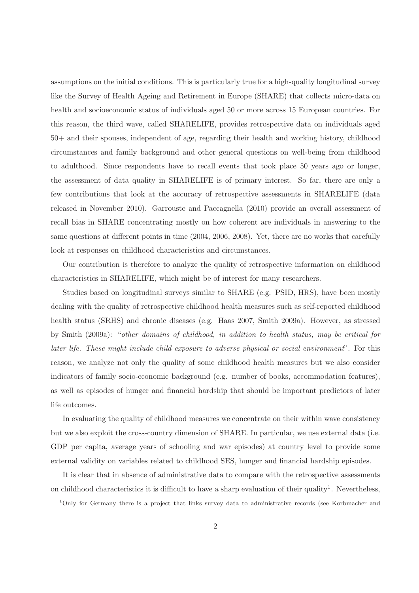assumptions on the initial conditions. This is particularly true for a high-quality longitudinal survey like the Survey of Health Ageing and Retirement in Europe (SHARE) that collects micro-data on health and socioeconomic status of individuals aged 50 or more across 15 European countries. For this reason, the third wave, called SHARELIFE, provides retrospective data on individuals aged 50+ and their spouses, independent of age, regarding their health and working history, childhood circumstances and family background and other general questions on well-being from childhood to adulthood. Since respondents have to recall events that took place 50 years ago or longer, the assessment of data quality in SHARELIFE is of primary interest. So far, there are only a few contributions that look at the accuracy of retrospective assessments in SHARELIFE (data released in November 2010). Garrouste and Paccagnella (2010) provide an overall assessment of recall bias in SHARE concentrating mostly on how coherent are individuals in answering to the same questions at different points in time (2004, 2006, 2008). Yet, there are no works that carefully look at responses on childhood characteristics and circumstances.

Our contribution is therefore to analyze the quality of retrospective information on childhood characteristics in SHARELIFE, which might be of interest for many researchers.

Studies based on longitudinal surveys similar to SHARE (e.g. PSID, HRS), have been mostly dealing with the quality of retrospective childhood health measures such as self-reported childhood health status (SRHS) and chronic diseases (e.g. Haas 2007, Smith 2009a). However, as stressed by Smith (2009a): "other domains of childhood, in addition to health status, may be critical for later life. These might include child exposure to adverse physical or social environment". For this reason, we analyze not only the quality of some childhood health measures but we also consider indicators of family socio-economic background (e.g. number of books, accommodation features), as well as episodes of hunger and financial hardship that should be important predictors of later life outcomes.

In evaluating the quality of childhood measures we concentrate on their within wave consistency but we also exploit the cross-country dimension of SHARE. In particular, we use external data (i.e. GDP per capita, average years of schooling and war episodes) at country level to provide some external validity on variables related to childhood SES, hunger and financial hardship episodes.

It is clear that in absence of administrative data to compare with the retrospective assessments on childhood characteristics it is difficult to have a sharp evaluation of their quality<sup>1</sup>. Nevertheless,

<sup>1</sup>Only for Germany there is a project that links survey data to administrative records (see Korbmacher and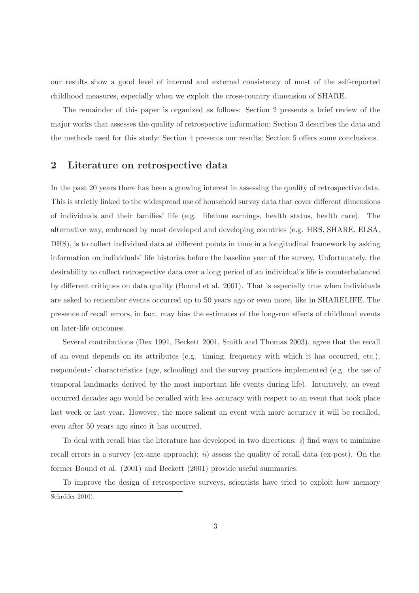our results show a good level of internal and external consistency of most of the self-reported childhood measures, especially when we exploit the cross-country dimension of SHARE.

The remainder of this paper is organized as follows: Section 2 presents a brief review of the major works that assesses the quality of retrospective information; Section 3 describes the data and the methods used for this study; Section 4 presents our results; Section 5 offers some conclusions.

### 2 Literature on retrospective data

In the past 20 years there has been a growing interest in assessing the quality of retrospective data. This is strictly linked to the widespread use of household survey data that cover different dimensions of individuals and their families' life (e.g. lifetime earnings, health status, health care). The alternative way, embraced by most developed and developing countries (e.g. HRS, SHARE, ELSA, DHS), is to collect individual data at different points in time in a longitudinal framework by asking information on individuals' life histories before the baseline year of the survey. Unfortunately, the desirability to collect retrospective data over a long period of an individual's life is counterbalanced by different critiques on data quality (Bound et al. 2001). That is especially true when individuals are asked to remember events occurred up to 50 years ago or even more, like in SHARELIFE. The presence of recall errors, in fact, may bias the estimates of the long-run effects of childhood events on later-life outcomes.

Several contributions (Dex 1991, Beckett 2001, Smith and Thomas 2003), agree that the recall of an event depends on its attributes (e.g. timing, frequency with which it has occurred, etc.), respondents' characteristics (age, schooling) and the survey practices implemented (e.g. the use of temporal landmarks derived by the most important life events during life). Intuitively, an event occurred decades ago would be recalled with less accuracy with respect to an event that took place last week or last year. However, the more salient an event with more accuracy it will be recalled, even after 50 years ago since it has occurred.

To deal with recall bias the literature has developed in two directions:  $i$ ) find ways to minimize recall errors in a survey (ex-ante approach);  $ii)$  assess the quality of recall data (ex-post). On the former Bound et al. (2001) and Beckett (2001) provide useful summaries.

To improve the design of retrospective surveys, scientists have tried to exploit how memory Schröder 2010).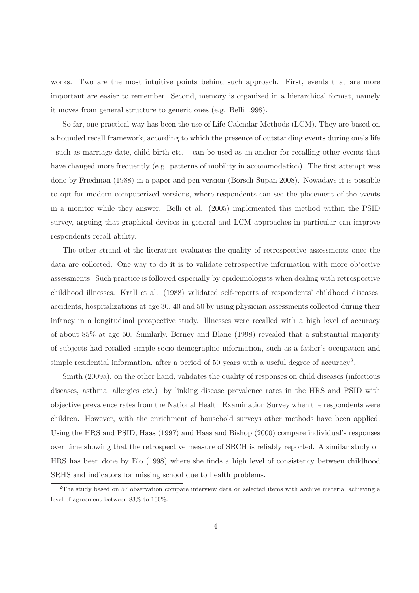works. Two are the most intuitive points behind such approach. First, events that are more important are easier to remember. Second, memory is organized in a hierarchical format, namely it moves from general structure to generic ones (e.g. Belli 1998).

So far, one practical way has been the use of Life Calendar Methods (LCM). They are based on a bounded recall framework, according to which the presence of outstanding events during one's life - such as marriage date, child birth etc. - can be used as an anchor for recalling other events that have changed more frequently (e.g. patterns of mobility in accommodation). The first attempt was done by Friedman (1988) in a paper and pen version (Börsch-Supan 2008). Nowadays it is possible to opt for modern computerized versions, where respondents can see the placement of the events in a monitor while they answer. Belli et al. (2005) implemented this method within the PSID survey, arguing that graphical devices in general and LCM approaches in particular can improve respondents recall ability.

The other strand of the literature evaluates the quality of retrospective assessments once the data are collected. One way to do it is to validate retrospective information with more objective assessments. Such practice is followed especially by epidemiologists when dealing with retrospective childhood illnesses. Krall et al. (1988) validated self-reports of respondents' childhood diseases, accidents, hospitalizations at age 30, 40 and 50 by using physician assessments collected during their infancy in a longitudinal prospective study. Illnesses were recalled with a high level of accuracy of about 85% at age 50. Similarly, Berney and Blane (1998) revealed that a substantial majority of subjects had recalled simple socio-demographic information, such as a father's occupation and simple residential information, after a period of 50 years with a useful degree of accuracy<sup>2</sup>.

Smith (2009a), on the other hand, validates the quality of responses on child diseases (infectious diseases, asthma, allergies etc.) by linking disease prevalence rates in the HRS and PSID with objective prevalence rates from the National Health Examination Survey when the respondents were children. However, with the enrichment of household surveys other methods have been applied. Using the HRS and PSID, Haas (1997) and Haas and Bishop (2000) compare individual's responses over time showing that the retrospective measure of SRCH is reliably reported. A similar study on HRS has been done by Elo (1998) where she finds a high level of consistency between childhood SRHS and indicators for missing school due to health problems.

<sup>2</sup>The study based on 57 observation compare interview data on selected items with archive material achieving a level of agreement between 83% to 100%.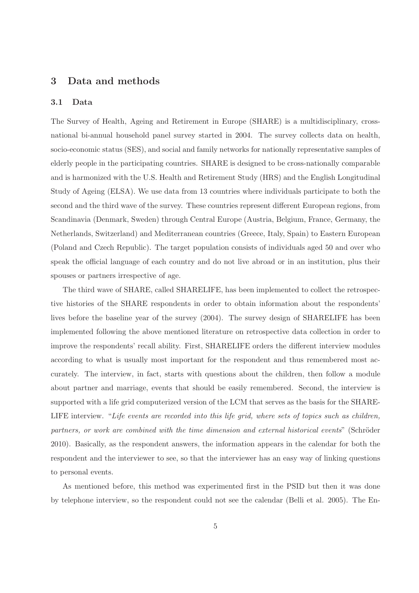# 3 Data and methods

#### 3.1 Data

The Survey of Health, Ageing and Retirement in Europe (SHARE) is a multidisciplinary, crossnational bi-annual household panel survey started in 2004. The survey collects data on health, socio-economic status (SES), and social and family networks for nationally representative samples of elderly people in the participating countries. SHARE is designed to be cross-nationally comparable and is harmonized with the U.S. Health and Retirement Study (HRS) and the English Longitudinal Study of Ageing (ELSA). We use data from 13 countries where individuals participate to both the second and the third wave of the survey. These countries represent different European regions, from Scandinavia (Denmark, Sweden) through Central Europe (Austria, Belgium, France, Germany, the Netherlands, Switzerland) and Mediterranean countries (Greece, Italy, Spain) to Eastern European (Poland and Czech Republic). The target population consists of individuals aged 50 and over who speak the official language of each country and do not live abroad or in an institution, plus their spouses or partners irrespective of age.

The third wave of SHARE, called SHARELIFE, has been implemented to collect the retrospective histories of the SHARE respondents in order to obtain information about the respondents' lives before the baseline year of the survey (2004). The survey design of SHARELIFE has been implemented following the above mentioned literature on retrospective data collection in order to improve the respondents' recall ability. First, SHARELIFE orders the different interview modules according to what is usually most important for the respondent and thus remembered most accurately. The interview, in fact, starts with questions about the children, then follow a module about partner and marriage, events that should be easily remembered. Second, the interview is supported with a life grid computerized version of the LCM that serves as the basis for the SHARE-LIFE interview. "Life events are recorded into this life grid, where sets of topics such as children, partners, or work are combined with the time dimension and external historical events" (Schröder 2010). Basically, as the respondent answers, the information appears in the calendar for both the respondent and the interviewer to see, so that the interviewer has an easy way of linking questions to personal events.

As mentioned before, this method was experimented first in the PSID but then it was done by telephone interview, so the respondent could not see the calendar (Belli et al. 2005). The En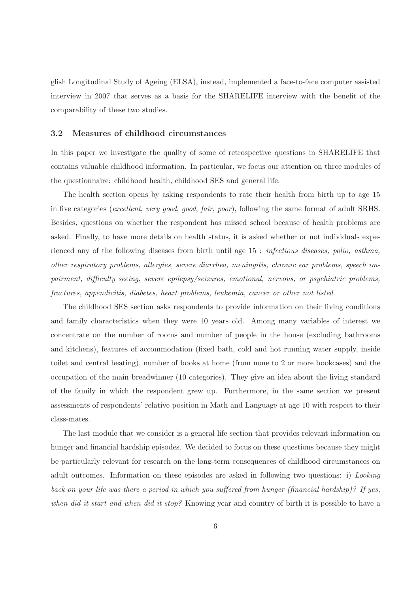glish Longitudinal Study of Ageing (ELSA), instead, implemented a face-to-face computer assisted interview in 2007 that serves as a basis for the SHARELIFE interview with the benefit of the comparability of these two studies.

#### 3.2 Measures of childhood circumstances

In this paper we investigate the quality of some of retrospective questions in SHARELIFE that contains valuable childhood information. In particular, we focus our attention on three modules of the questionnaire: childhood health, childhood SES and general life.

The health section opens by asking respondents to rate their health from birth up to age 15 in five categories (excellent, very good, good, fair, poor), following the same format of adult SRHS. Besides, questions on whether the respondent has missed school because of health problems are asked. Finally, to have more details on health status, it is asked whether or not individuals experienced any of the following diseases from birth until age 15 : infectious diseases, polio, asthma, other respiratory problems, allergies, severe diarrhea, meningitis, chronic ear problems, speech impairment, difficulty seeing, severe epilepsy/seizures, emotional, nervous, or psychiatric problems, fractures, appendicitis, diabetes, heart problems, leukemia, cancer or other not listed.

The childhood SES section asks respondents to provide information on their living conditions and family characteristics when they were 10 years old. Among many variables of interest we concentrate on the number of rooms and number of people in the house (excluding bathrooms and kitchens), features of accommodation (fixed bath, cold and hot running water supply, inside toilet and central heating), number of books at home (from none to 2 or more bookcases) and the occupation of the main breadwinner (10 categories). They give an idea about the living standard of the family in which the respondent grew up. Furthermore, in the same section we present assessments of respondents' relative position in Math and Language at age 10 with respect to their class-mates.

The last module that we consider is a general life section that provides relevant information on hunger and financial hardship episodes. We decided to focus on these questions because they might be particularly relevant for research on the long-term consequences of childhood circumstances on adult outcomes. Information on these episodes are asked in following two questions: i) Looking back on your life was there a period in which you suffered from hunger (financial hardship)? If yes, when did it start and when did it stop? Knowing year and country of birth it is possible to have a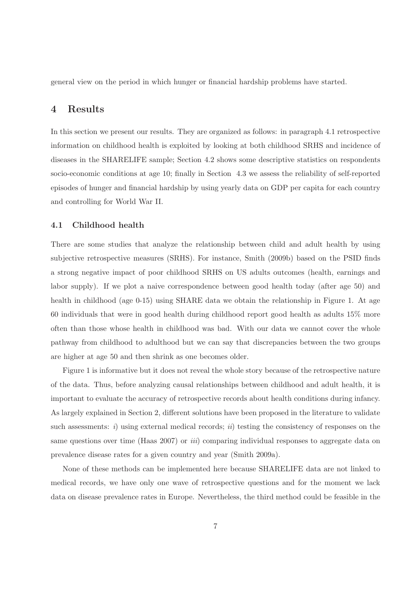general view on the period in which hunger or financial hardship problems have started.

### 4 Results

In this section we present our results. They are organized as follows: in paragraph 4.1 retrospective information on childhood health is exploited by looking at both childhood SRHS and incidence of diseases in the SHARELIFE sample; Section 4.2 shows some descriptive statistics on respondents socio-economic conditions at age 10; finally in Section 4.3 we assess the reliability of self-reported episodes of hunger and financial hardship by using yearly data on GDP per capita for each country and controlling for World War II.

#### 4.1 Childhood health

There are some studies that analyze the relationship between child and adult health by using subjective retrospective measures (SRHS). For instance, Smith (2009b) based on the PSID finds a strong negative impact of poor childhood SRHS on US adults outcomes (health, earnings and labor supply). If we plot a naive correspondence between good health today (after age 50) and health in childhood (age 0-15) using SHARE data we obtain the relationship in Figure 1. At age 60 individuals that were in good health during childhood report good health as adults 15% more often than those whose health in childhood was bad. With our data we cannot cover the whole pathway from childhood to adulthood but we can say that discrepancies between the two groups are higher at age 50 and then shrink as one becomes older.

Figure 1 is informative but it does not reveal the whole story because of the retrospective nature of the data. Thus, before analyzing causal relationships between childhood and adult health, it is important to evaluate the accuracy of retrospective records about health conditions during infancy. As largely explained in Section 2, different solutions have been proposed in the literature to validate such assessments: i) using external medical records; ii) testing the consistency of responses on the same questions over time (Haas 2007) or *iii*) comparing individual responses to aggregate data on prevalence disease rates for a given country and year (Smith 2009a).

None of these methods can be implemented here because SHARELIFE data are not linked to medical records, we have only one wave of retrospective questions and for the moment we lack data on disease prevalence rates in Europe. Nevertheless, the third method could be feasible in the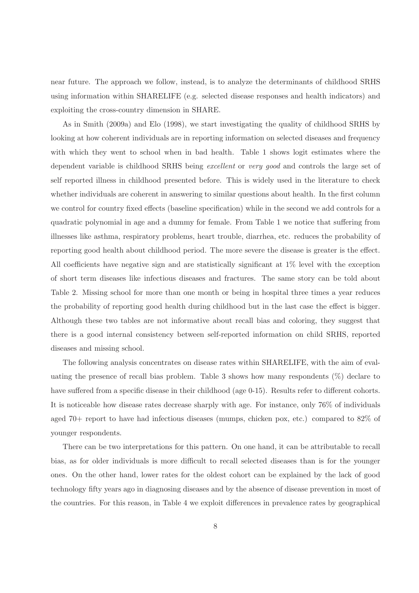near future. The approach we follow, instead, is to analyze the determinants of childhood SRHS using information within SHARELIFE (e.g. selected disease responses and health indicators) and exploiting the cross-country dimension in SHARE.

As in Smith (2009a) and Elo (1998), we start investigating the quality of childhood SRHS by looking at how coherent individuals are in reporting information on selected diseases and frequency with which they went to school when in bad health. Table 1 shows logit estimates where the dependent variable is childhood SRHS being excellent or very good and controls the large set of self reported illness in childhood presented before. This is widely used in the literature to check whether individuals are coherent in answering to similar questions about health. In the first column we control for country fixed effects (baseline specification) while in the second we add controls for a quadratic polynomial in age and a dummy for female. From Table 1 we notice that suffering from illnesses like asthma, respiratory problems, heart trouble, diarrhea, etc. reduces the probability of reporting good health about childhood period. The more severe the disease is greater is the effect. All coefficients have negative sign and are statistically significant at 1% level with the exception of short term diseases like infectious diseases and fractures. The same story can be told about Table 2. Missing school for more than one month or being in hospital three times a year reduces the probability of reporting good health during childhood but in the last case the effect is bigger. Although these two tables are not informative about recall bias and coloring, they suggest that there is a good internal consistency between self-reported information on child SRHS, reported diseases and missing school.

The following analysis concentrates on disease rates within SHARELIFE, with the aim of evaluating the presence of recall bias problem. Table 3 shows how many respondents  $(\%)$  declare to have suffered from a specific disease in their childhood (age 0-15). Results refer to different cohorts. It is noticeable how disease rates decrease sharply with age. For instance, only 76% of individuals aged 70+ report to have had infectious diseases (mumps, chicken pox, etc.) compared to 82% of younger respondents.

There can be two interpretations for this pattern. On one hand, it can be attributable to recall bias, as for older individuals is more difficult to recall selected diseases than is for the younger ones. On the other hand, lower rates for the oldest cohort can be explained by the lack of good technology fifty years ago in diagnosing diseases and by the absence of disease prevention in most of the countries. For this reason, in Table 4 we exploit differences in prevalence rates by geographical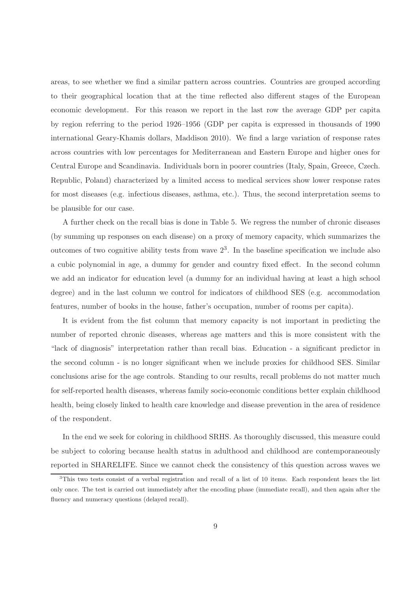areas, to see whether we find a similar pattern across countries. Countries are grouped according to their geographical location that at the time reflected also different stages of the European economic development. For this reason we report in the last row the average GDP per capita by region referring to the period 1926–1956 (GDP per capita is expressed in thousands of 1990 international Geary-Khamis dollars, Maddison 2010). We find a large variation of response rates across countries with low percentages for Mediterranean and Eastern Europe and higher ones for Central Europe and Scandinavia. Individuals born in poorer countries (Italy, Spain, Greece, Czech. Republic, Poland) characterized by a limited access to medical services show lower response rates for most diseases (e.g. infectious diseases, asthma, etc.). Thus, the second interpretation seems to be plausible for our case.

A further check on the recall bias is done in Table 5. We regress the number of chronic diseases (by summing up responses on each disease) on a proxy of memory capacity, which summarizes the outcomes of two cognitive ability tests from wave  $2<sup>3</sup>$ . In the baseline specification we include also a cubic polynomial in age, a dummy for gender and country fixed effect. In the second column we add an indicator for education level (a dummy for an individual having at least a high school degree) and in the last column we control for indicators of childhood SES (e.g. accommodation features, number of books in the house, father's occupation, number of rooms per capita).

It is evident from the fist column that memory capacity is not important in predicting the number of reported chronic diseases, whereas age matters and this is more consistent with the "lack of diagnosis" interpretation rather than recall bias. Education - a significant predictor in the second column - is no longer significant when we include proxies for childhood SES. Similar conclusions arise for the age controls. Standing to our results, recall problems do not matter much for self-reported health diseases, whereas family socio-economic conditions better explain childhood health, being closely linked to health care knowledge and disease prevention in the area of residence of the respondent.

In the end we seek for coloring in childhood SRHS. As thoroughly discussed, this measure could be subject to coloring because health status in adulthood and childhood are contemporaneously reported in SHARELIFE. Since we cannot check the consistency of this question across waves we

 $3$ This two tests consist of a verbal registration and recall of a list of 10 items. Each respondent hears the list only once. The test is carried out immediately after the encoding phase (immediate recall), and then again after the fluency and numeracy questions (delayed recall).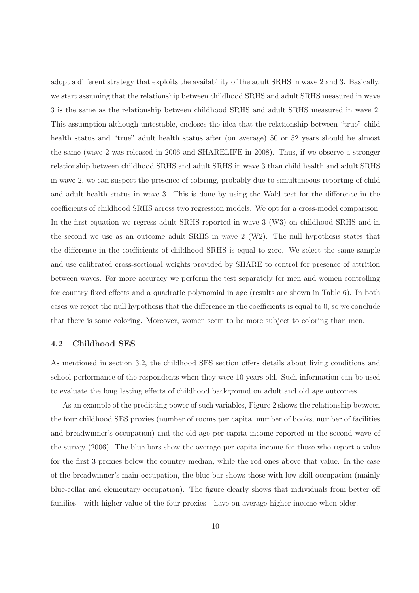adopt a different strategy that exploits the availability of the adult SRHS in wave 2 and 3. Basically, we start assuming that the relationship between childhood SRHS and adult SRHS measured in wave 3 is the same as the relationship between childhood SRHS and adult SRHS measured in wave 2. This assumption although untestable, encloses the idea that the relationship between "true" child health status and "true" adult health status after (on average) 50 or 52 years should be almost the same (wave 2 was released in 2006 and SHARELIFE in 2008). Thus, if we observe a stronger relationship between childhood SRHS and adult SRHS in wave 3 than child health and adult SRHS in wave 2, we can suspect the presence of coloring, probably due to simultaneous reporting of child and adult health status in wave 3. This is done by using the Wald test for the difference in the coefficients of childhood SRHS across two regression models. We opt for a cross-model comparison. In the first equation we regress adult SRHS reported in wave 3 (W3) on childhood SRHS and in the second we use as an outcome adult SRHS in wave 2 (W2). The null hypothesis states that the difference in the coefficients of childhood SRHS is equal to zero. We select the same sample and use calibrated cross-sectional weights provided by SHARE to control for presence of attrition between waves. For more accuracy we perform the test separately for men and women controlling for country fixed effects and a quadratic polynomial in age (results are shown in Table 6). In both cases we reject the null hypothesis that the difference in the coefficients is equal to 0, so we conclude that there is some coloring. Moreover, women seem to be more subject to coloring than men.

#### 4.2 Childhood SES

As mentioned in section 3.2, the childhood SES section offers details about living conditions and school performance of the respondents when they were 10 years old. Such information can be used to evaluate the long lasting effects of childhood background on adult and old age outcomes.

As an example of the predicting power of such variables, Figure 2 shows the relationship between the four childhood SES proxies (number of rooms per capita, number of books, number of facilities and breadwinner's occupation) and the old-age per capita income reported in the second wave of the survey (2006). The blue bars show the average per capita income for those who report a value for the first 3 proxies below the country median, while the red ones above that value. In the case of the breadwinner's main occupation, the blue bar shows those with low skill occupation (mainly blue-collar and elementary occupation). The figure clearly shows that individuals from better off families - with higher value of the four proxies - have on average higher income when older.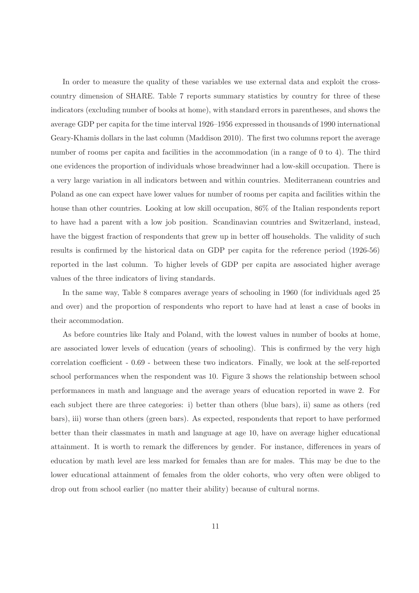In order to measure the quality of these variables we use external data and exploit the crosscountry dimension of SHARE. Table 7 reports summary statistics by country for three of these indicators (excluding number of books at home), with standard errors in parentheses, and shows the average GDP per capita for the time interval 1926–1956 expressed in thousands of 1990 international Geary-Khamis dollars in the last column (Maddison 2010). The first two columns report the average number of rooms per capita and facilities in the accommodation (in a range of 0 to 4). The third one evidences the proportion of individuals whose breadwinner had a low-skill occupation. There is a very large variation in all indicators between and within countries. Mediterranean countries and Poland as one can expect have lower values for number of rooms per capita and facilities within the house than other countries. Looking at low skill occupation,  $86\%$  of the Italian respondents report to have had a parent with a low job position. Scandinavian countries and Switzerland, instead, have the biggest fraction of respondents that grew up in better off households. The validity of such results is confirmed by the historical data on GDP per capita for the reference period (1926-56) reported in the last column. To higher levels of GDP per capita are associated higher average values of the three indicators of living standards.

In the same way, Table 8 compares average years of schooling in 1960 (for individuals aged 25 and over) and the proportion of respondents who report to have had at least a case of books in their accommodation.

As before countries like Italy and Poland, with the lowest values in number of books at home, are associated lower levels of education (years of schooling). This is confirmed by the very high correlation coefficient - 0.69 - between these two indicators. Finally, we look at the self-reported school performances when the respondent was 10. Figure 3 shows the relationship between school performances in math and language and the average years of education reported in wave 2. For each subject there are three categories: i) better than others (blue bars), ii) same as others (red bars), iii) worse than others (green bars). As expected, respondents that report to have performed better than their classmates in math and language at age 10, have on average higher educational attainment. It is worth to remark the differences by gender. For instance, differences in years of education by math level are less marked for females than are for males. This may be due to the lower educational attainment of females from the older cohorts, who very often were obliged to drop out from school earlier (no matter their ability) because of cultural norms.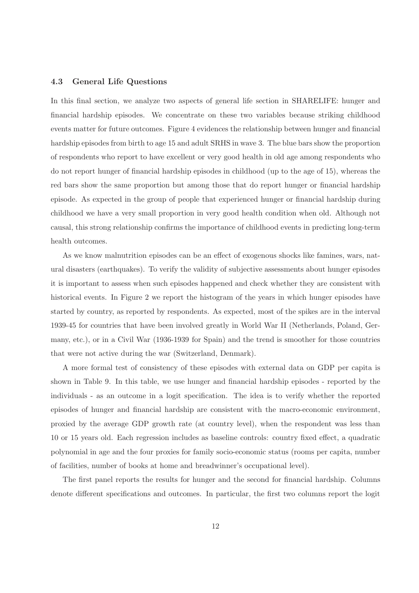#### 4.3 General Life Questions

In this final section, we analyze two aspects of general life section in SHARELIFE: hunger and financial hardship episodes. We concentrate on these two variables because striking childhood events matter for future outcomes. Figure 4 evidences the relationship between hunger and financial hardship episodes from birth to age 15 and adult SRHS in wave 3. The blue bars show the proportion of respondents who report to have excellent or very good health in old age among respondents who do not report hunger of financial hardship episodes in childhood (up to the age of 15), whereas the red bars show the same proportion but among those that do report hunger or financial hardship episode. As expected in the group of people that experienced hunger or financial hardship during childhood we have a very small proportion in very good health condition when old. Although not causal, this strong relationship confirms the importance of childhood events in predicting long-term health outcomes.

As we know malnutrition episodes can be an effect of exogenous shocks like famines, wars, natural disasters (earthquakes). To verify the validity of subjective assessments about hunger episodes it is important to assess when such episodes happened and check whether they are consistent with historical events. In Figure 2 we report the histogram of the years in which hunger episodes have started by country, as reported by respondents. As expected, most of the spikes are in the interval 1939-45 for countries that have been involved greatly in World War II (Netherlands, Poland, Germany, etc.), or in a Civil War (1936-1939 for Spain) and the trend is smoother for those countries that were not active during the war (Switzerland, Denmark).

A more formal test of consistency of these episodes with external data on GDP per capita is shown in Table 9. In this table, we use hunger and financial hardship episodes - reported by the individuals - as an outcome in a logit specification. The idea is to verify whether the reported episodes of hunger and financial hardship are consistent with the macro-economic environment, proxied by the average GDP growth rate (at country level), when the respondent was less than 10 or 15 years old. Each regression includes as baseline controls: country fixed effect, a quadratic polynomial in age and the four proxies for family socio-economic status (rooms per capita, number of facilities, number of books at home and breadwinner's occupational level).

The first panel reports the results for hunger and the second for financial hardship. Columns denote different specifications and outcomes. In particular, the first two columns report the logit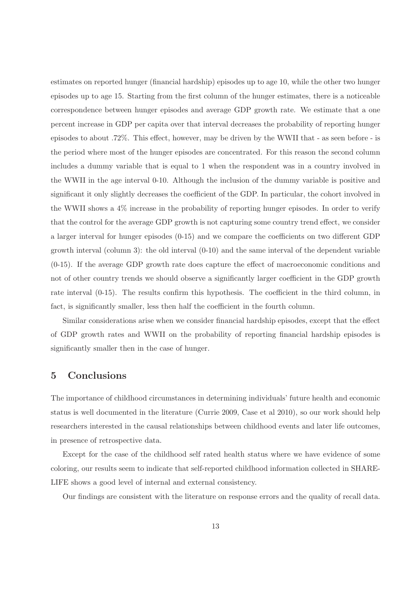estimates on reported hunger (financial hardship) episodes up to age 10, while the other two hunger episodes up to age 15. Starting from the first column of the hunger estimates, there is a noticeable correspondence between hunger episodes and average GDP growth rate. We estimate that a one percent increase in GDP per capita over that interval decreases the probability of reporting hunger episodes to about .72%. This effect, however, may be driven by the WWII that - as seen before - is the period where most of the hunger episodes are concentrated. For this reason the second column includes a dummy variable that is equal to 1 when the respondent was in a country involved in the WWII in the age interval 0-10. Although the inclusion of the dummy variable is positive and significant it only slightly decreases the coefficient of the GDP. In particular, the cohort involved in the WWII shows a 4% increase in the probability of reporting hunger episodes. In order to verify that the control for the average GDP growth is not capturing some country trend effect, we consider a larger interval for hunger episodes (0-15) and we compare the coefficients on two different GDP growth interval (column 3): the old interval (0-10) and the same interval of the dependent variable (0-15). If the average GDP growth rate does capture the effect of macroeconomic conditions and not of other country trends we should observe a significantly larger coefficient in the GDP growth rate interval (0-15). The results confirm this hypothesis. The coefficient in the third column, in fact, is significantly smaller, less then half the coefficient in the fourth column.

Similar considerations arise when we consider financial hardship episodes, except that the effect of GDP growth rates and WWII on the probability of reporting financial hardship episodes is significantly smaller then in the case of hunger.

## 5 Conclusions

The importance of childhood circumstances in determining individuals' future health and economic status is well documented in the literature (Currie 2009, Case et al 2010), so our work should help researchers interested in the causal relationships between childhood events and later life outcomes, in presence of retrospective data.

Except for the case of the childhood self rated health status where we have evidence of some coloring, our results seem to indicate that self-reported childhood information collected in SHARE-LIFE shows a good level of internal and external consistency.

Our findings are consistent with the literature on response errors and the quality of recall data.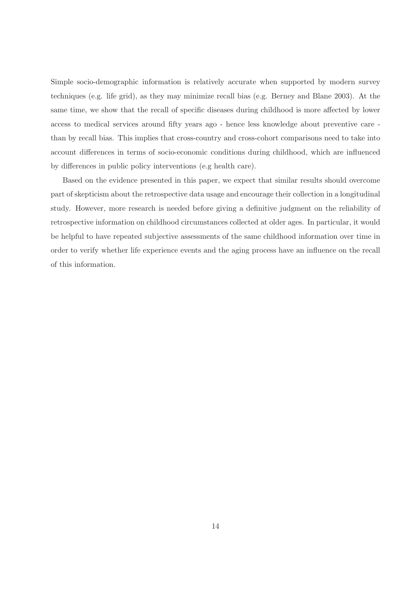Simple socio-demographic information is relatively accurate when supported by modern survey techniques (e.g. life grid), as they may minimize recall bias (e.g. Berney and Blane 2003). At the same time, we show that the recall of specific diseases during childhood is more affected by lower access to medical services around fifty years ago - hence less knowledge about preventive care than by recall bias. This implies that cross-country and cross-cohort comparisons need to take into account differences in terms of socio-economic conditions during childhood, which are influenced by differences in public policy interventions (e.g health care).

Based on the evidence presented in this paper, we expect that similar results should overcome part of skepticism about the retrospective data usage and encourage their collection in a longitudinal study. However, more research is needed before giving a definitive judgment on the reliability of retrospective information on childhood circumstances collected at older ages. In particular, it would be helpful to have repeated subjective assessments of the same childhood information over time in order to verify whether life experience events and the aging process have an influence on the recall of this information.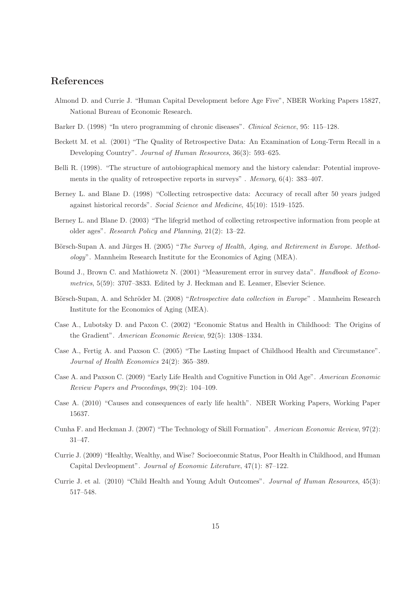# References

- Almond D. and Currie J. "Human Capital Development before Age Five", NBER Working Papers 15827, National Bureau of Economic Research.
- Barker D. (1998) "In utero programming of chronic diseases". Clinical Science, 95: 115–128.
- Beckett M. et al. (2001) "The Quality of Retrospective Data: An Examination of Long-Term Recall in a Developing Country". Journal of Human Resources, 36(3): 593–625.
- Belli R. (1998). "The structure of autobiographical memory and the history calendar: Potential improvements in the quality of retrospective reports in surveys" . Memory, 6(4): 383–407.
- Berney L. and Blane D. (1998) "Collecting retrospective data: Accuracy of recall after 50 years judged against historical records". Social Science and Medicine, 45(10): 1519–1525.
- Berney L. and Blane D. (2003) "The lifegrid method of collecting retrospective information from people at older ages". Research Policy and Planning, 21(2): 13–22.
- Börsch-Supan A. and Jürges H. (2005) "The Survey of Health, Aging, and Retirement in Europe. Methodology". Mannheim Research Institute for the Economics of Aging (MEA).
- Bound J., Brown C. and Mathiowetz N. (2001) "Measurement error in survey data". Handbook of Econometrics, 5(59): 3707–3833. Edited by J. Heckman and E. Leamer, Elsevier Science.
- Börsch-Supan, A. and Schröder M. (2008) "Retrospective data collection in Europe". Mannheim Research Institute for the Economics of Aging (MEA).
- Case A., Lubotsky D. and Paxon C. (2002) "Economic Status and Health in Childhood: The Origins of the Gradient". American Economic Review, 92(5): 1308–1334.
- Case A., Fertig A. and Paxson C. (2005) "The Lasting Impact of Childhood Health and Circumstance". Journal of Health Economics 24(2): 365–389.
- Case A. and Paxson C. (2009) "Early Life Health and Cognitive Function in Old Age". American Economic Review Papers and Proceedings, 99(2): 104–109.
- Case A. (2010) "Causes and consequences of early life health". NBER Working Papers, Working Paper 15637.
- Cunha F. and Heckman J. (2007) "The Technology of Skill Formation". American Economic Review, 97(2): 31–47.
- Currie J. (2009) "Healthy, Wealthy, and Wise? Socioeconmic Status, Poor Health in Childhood, and Human Capital Devleopment". Journal of Economic Literature, 47(1): 87–122.
- Currie J. et al. (2010) "Child Health and Young Adult Outcomes". Journal of Human Resources, 45(3): 517–548.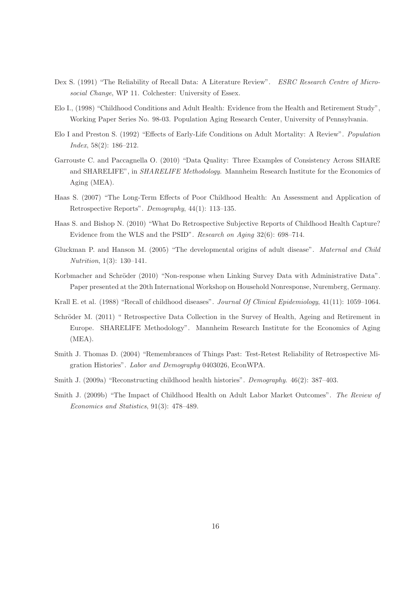- Dex S. (1991) "The Reliability of Recall Data: A Literature Review". ESRC Research Centre of Microsocial Change, WP 11. Colchester: University of Essex.
- Elo I., (1998) "Childhood Conditions and Adult Health: Evidence from the Health and Retirement Study", Working Paper Series No. 98-03. Population Aging Research Center, University of Pennsylvania.
- Elo I and Preston S. (1992) "Effects of Early-Life Conditions on Adult Mortality: A Review". Population Index, 58(2): 186–212.
- Garrouste C. and Paccagnella O. (2010) "Data Quality: Three Examples of Consistency Across SHARE and SHARELIFE", in *SHARELIFE Methodology*. Mannheim Research Institute for the Economics of Aging (MEA).
- Haas S. (2007) "The Long-Term Effects of Poor Childhood Health: An Assessment and Application of Retrospective Reports". Demography, 44(1): 113–135.
- Haas S. and Bishop N. (2010) "What Do Retrospective Subjective Reports of Childhood Health Capture? Evidence from the WLS and the PSID". Research on Aging 32(6): 698–714.
- Gluckman P. and Hanson M. (2005) "The developmental origins of adult disease". Maternal and Child Nutrition, 1(3): 130–141.
- Korbmacher and Schröder (2010) "Non-response when Linking Survey Data with Administrative Data". Paper presented at the 20th International Workshop on Household Nonresponse, Nuremberg, Germany.
- Krall E. et al. (1988) "Recall of childhood diseases". Journal Of Clinical Epidemiology, 41(11): 1059–1064.
- Schröder M. (2011) " Retrospective Data Collection in the Survey of Health, Ageing and Retirement in Europe. SHARELIFE Methodology". Mannheim Research Institute for the Economics of Aging (MEA).
- Smith J. Thomas D. (2004) "Remembrances of Things Past: Test-Retest Reliability of Retrospective Migration Histories". Labor and Demography 0403026, EconWPA.
- Smith J. (2009a) "Reconstructing childhood health histories". Demography. 46(2): 387–403.
- Smith J. (2009b) "The Impact of Childhood Health on Adult Labor Market Outcomes". The Review of Economics and Statistics, 91(3): 478–489.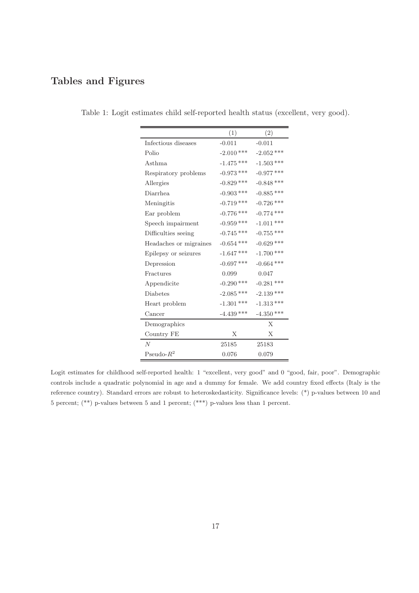# Tables and Figures

|                        | (1)          | (2)          |
|------------------------|--------------|--------------|
| Infectious diseases    | $-0.011$     | $-0.011$     |
| Polio                  | $-2.010$ *** | $-2.052$ *** |
| Asthma                 | $-1.475$ *** | $-1.503$ *** |
| Respiratory problems   | $-0.973$ *** | $-0.977$ *** |
| Allergies              | $-0.829$ *** | $-0.848$ *** |
| <b>Diarrhea</b>        | $-0.903$ *** | $-0.885$ *** |
| Meningitis             | $-0.719$ *** | $-0.726$ *** |
| Ear problem            | $-0.776$ *** | $-0.774$ *** |
| Speech impairment      | $-0.959$ *** | $-1.011$ *** |
| Difficulties seeing    | $-0.745$ *** | $-0.755$ *** |
| Headaches or migraines | $-0.654$ *** | $-0.629$ *** |
| Epilepsy or seizures   | $-1.647$ *** | $-1.700$ *** |
| Depression             | $-0.697$ *** | $-0.664$ *** |
| Fractures              | 0.099        | 0.047        |
| Appendicite            | $-0.290$ *** | $-0.281$ *** |
| <b>Diabetes</b>        | $-2.085$ *** | $-2.139$ *** |
| Heart problem          | $-1.301$ *** | $-1.313$ *** |
| Cancer                 | $-4.439$ *** | $-4.350$ *** |
| Demographics           |              | X            |
| Country FE             | X            | X            |
| $\overline{N}$         | 25185        | 25183        |
| Pseudo- $R^2$          | 0.076        | 0.079        |

Table 1: Logit estimates child self-reported health status (excellent, very good).

Logit estimates for childhood self-reported health: 1 "excellent, very good" and 0 "good, fair, poor". Demographic controls include a quadratic polynomial in age and a dummy for female. We add country fixed effects (Italy is the reference country). Standard errors are robust to heteroskedasticity. Significance levels: (\*) p-values between 10 and 5 percent; (\*\*) p-values between 5 and 1 percent; (\*\*\*) p-values less than 1 percent.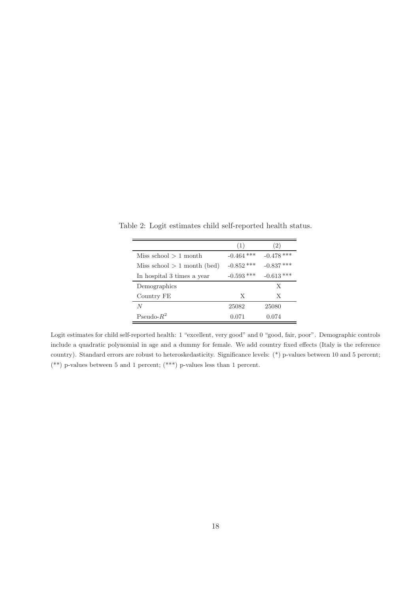|                               | (1)          | $\left( 2\right)$ |
|-------------------------------|--------------|-------------------|
| Miss school $> 1$ month       | $-0.464$ *** | $-0.478$ ***      |
| Miss school $> 1$ month (bed) | $-0.852$ *** | $-0.837$ ***      |
| In hospital 3 times a year    | $-0.593$ *** | $-0.613$ ***      |
| Demographics                  |              | X                 |
| Country FE                    | Х            | X                 |
| N                             | 25082        | 25080             |
| Pseudo- $R^2$                 | 0.071        | 0.074             |

Table 2: Logit estimates child self-reported health status.

Logit estimates for child self-reported health: 1 "excellent, very good" and 0 "good, fair, poor". Demographic controls include a quadratic polynomial in age and a dummy for female. We add country fixed effects (Italy is the reference country). Standard errors are robust to heteroskedasticity. Significance levels: (\*) p-values between 10 and 5 percent;  $(**)$  p-values between 5 and 1 percent;  $(***)$  p-values less than 1 percent.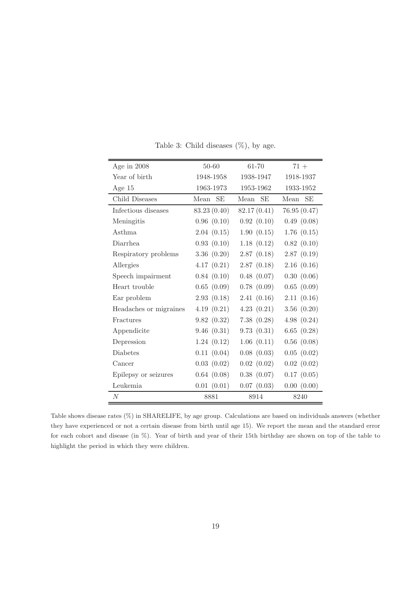| Age in $2008$          | 50-60             | $61 - 70$         | $71 +$      |
|------------------------|-------------------|-------------------|-------------|
| Year of birth          | 1948-1958         | 1938-1947         | 1918-1937   |
| Age $15$               | 1963-1973         | 1953-1962         | 1933-1952   |
| Child Diseases         | <b>SE</b><br>Mean | <b>SE</b><br>Mean | Mean SE     |
| Infectious diseases    | 83.23 (0.40)      | 82.17(0.41)       | 76.95(0.47) |
| Meningitis             | 0.96(0.10)        | 0.92(0.10)        | 0.49(0.08)  |
| <b>Asthma</b>          | 2.04(0.15)        | 1.90(0.15)        | 1.76(0.15)  |
| <b>Diarrhea</b>        | 0.93(0.10)        | 1.18(0.12)        | 0.82(0.10)  |
| Respiratory problems   | 3.36(0.20)        | 2.87(0.18)        | 2.87(0.19)  |
| Allergies              | 4.17(0.21)        | 2.87(0.18)        | 2.16(0.16)  |
| Speech impairment      | 0.84(0.10)        | 0.48(0.07)        | 0.30(0.06)  |
| Heart trouble          | 0.65(0.09)        | 0.78(0.09)        | 0.65(0.09)  |
| Ear problem            | 2.93(0.18)        | 2.41(0.16)        | 2.11(0.16)  |
| Headaches or migraines | 4.19(0.21)        | 4.23(0.21)        | 3.56(0.20)  |
| Fractures              | 9.82(0.32)        | 7.38(0.28)        | 4.98(0.24)  |
| Appendicite            | 9.46(0.31)        | 9.73(0.31)        | 6.65(0.28)  |
| Depression             | 1.24(0.12)        | 1.06(0.11)        | 0.56(0.08)  |
| <b>Diabetes</b>        | 0.11(0.04)        | 0.08(0.03)        | 0.05(0.02)  |
| Cancer                 | 0.03(0.02)        | 0.02(0.02)        | 0.02(0.02)  |
| Epilepsy or seizures   | 0.64(0.08)        | 0.38(0.07)        | 0.17(0.05)  |
| Leukemia               | 0.01(0.01)        | 0.07(0.03)        | 0.00(0.00)  |
| N                      | 8881              | 8914              | 8240        |

Table 3: Child diseases  $(\%)$ , by age.

Table shows disease rates (%) in SHARELIFE, by age group. Calculations are based on individuals answers (whether they have experienced or not a certain disease from birth until age 15). We report the mean and the standard error for each cohort and disease (in %). Year of birth and year of their 15th birthday are shown on top of the table to highlight the period in which they were children.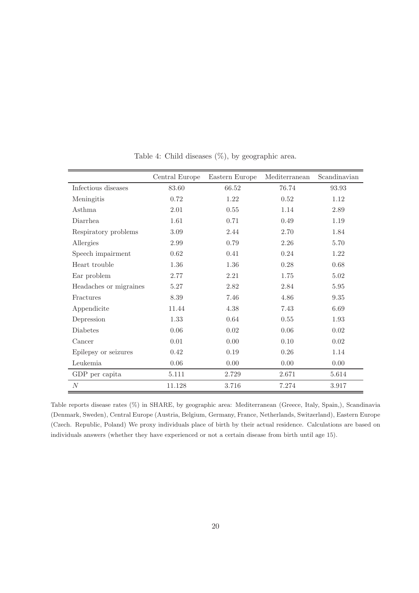|                        | Central Europe | Eastern Europe | Mediterranean | Scandinavian |
|------------------------|----------------|----------------|---------------|--------------|
| Infectious diseases    | 83.60          | 66.52          | 76.74         | 93.93        |
| Meningitis             | 0.72           | 1.22           | $0.52\,$      | 1.12         |
| <b>Asthma</b>          | 2.01           | $0.55\,$       | 1.14          | 2.89         |
| Diarrhea               | 1.61           | 0.71           | 0.49          | 1.19         |
| Respiratory problems   | 3.09           | 2.44           | 2.70          | 1.84         |
| Allergies              | 2.99           | 0.79           | 2.26          | 5.70         |
| Speech impairment      | 0.62           | 0.41           | 0.24          | 1.22         |
| Heart trouble          | 1.36           | 1.36           | 0.28          | 0.68         |
| Ear problem            | 2.77           | 2.21           | 1.75          | 5.02         |
| Headaches or migraines | 5.27           | 2.82           | 2.84          | 5.95         |
| Fractures              | 8.39           | 7.46           | 4.86          | $9.35\,$     |
| Appendicite            | 11.44          | 4.38           | 7.43          | 6.69         |
| Depression             | 1.33           | 0.64           | 0.55          | 1.93         |
| <b>Diabetes</b>        | $0.06\,$       | $0.02\,$       | 0.06          | 0.02         |
| Cancer                 | 0.01           | 0.00           | 0.10          | 0.02         |
| Epilepsy or seizures   | 0.42           | 0.19           | 0.26          | 1.14         |
| Leukemia               | 0.06           | 0.00           | 0.00          | 0.00         |
| GDP per capita         | 5.111          | 2.729          | 2.671         | 5.614        |
| $\overline{N}$         | 11.128         | 3.716          | 7.274         | 3.917        |

Table 4: Child diseases (%), by geographic area.

Table reports disease rates (%) in SHARE, by geographic area: Mediterranean (Greece, Italy, Spain,), Scandinavia (Denmark, Sweden), Central Europe (Austria, Belgium, Germany, France, Netherlands, Switzerland), Eastern Europe (Czech. Republic, Poland) We proxy individuals place of birth by their actual residence. Calculations are based on individuals answers (whether they have experienced or not a certain disease from birth until age 15).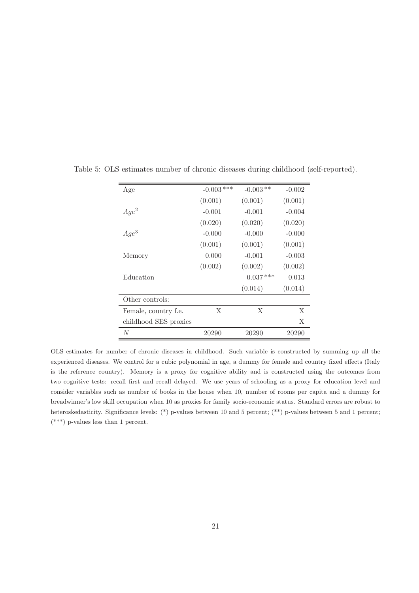| Age                   | $-0.003$ *** | $-0.003**$ | $-0.002$ |
|-----------------------|--------------|------------|----------|
|                       | (0.001)      | (0.001)    | (0.001)  |
| $Age^2$               | $-0.001$     | $-0.001$   | $-0.004$ |
|                       | (0.020)      | (0.020)    | (0.020)  |
| $Age^3$               | $-0.000$     | $-0.000$   | $-0.000$ |
|                       | (0.001)      | (0.001)    | (0.001)  |
| Memory                | 0.000        | $-0.001$   | $-0.003$ |
|                       | (0.002)      | (0.002)    | (0.002)  |
| Education             |              | $0.037***$ | 0.013    |
|                       |              | (0.014)    | (0.014)  |
| Other controls:       |              |            |          |
| Female, country f.e.  | X            | X          | X        |
| childhood SES proxies |              |            | X        |
| N                     | 20290        | 20290      | 20290    |

Table 5: OLS estimates number of chronic diseases during childhood (self-reported).

OLS estimates for number of chronic diseases in childhood. Such variable is constructed by summing up all the experienced diseases. We control for a cubic polynomial in age, a dummy for female and country fixed effects (Italy is the reference country). Memory is a proxy for cognitive ability and is constructed using the outcomes from two cognitive tests: recall first and recall delayed. We use years of schooling as a proxy for education level and consider variables such as number of books in the house when 10, number of rooms per capita and a dummy for breadwinner's low skill occupation when 10 as proxies for family socio-economic status. Standard errors are robust to heteroskedasticity. Significance levels: (\*) p-values between 10 and 5 percent; (\*\*) p-values between 5 and 1 percent; (\*\*\*) p-values less than 1 percent.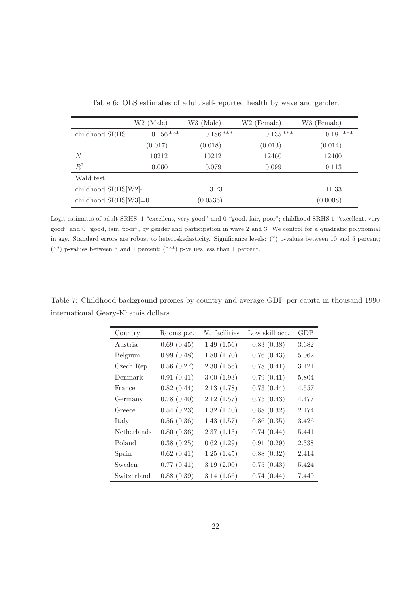|                        | $W2$ (Male) | W3 (Male)  | W <sub>2</sub> (Female) | W3 (Female) |
|------------------------|-------------|------------|-------------------------|-------------|
| childhood SRHS         | $0.156***$  | $0.186***$ | $0.135***$              | $0.181***$  |
|                        | (0.017)     | (0.018)    | (0.013)                 | (0.014)     |
| N                      | 10212       | 10212      | 12460                   | 12460       |
| $R^2$                  | 0.060       | 0.079      | 0.099                   | 0.113       |
| Wald test:             |             |            |                         |             |
| childhood SRHS[W2]-    |             | 3.73       |                         | 11.33       |
| childhood $SRHS[W3]=0$ |             | (0.0536)   |                         | (0.0008)    |

Table 6: OLS estimates of adult self-reported health by wave and gender.

Logit estimates of adult SRHS: 1 "excellent, very good" and 0 "good, fair, poor"; childhood SRHS 1 "excellent, very good" and 0 "good, fair, poor", by gender and participation in wave 2 and 3. We control for a quadratic polynomial in age. Standard errors are robust to heteroskedasticity. Significance levels: (\*) p-values between 10 and 5 percent; (\*\*) p-values between 5 and 1 percent; (\*\*\*) p-values less than 1 percent.

Table 7: Childhood background proxies by country and average GDP per capita in thousand 1990 international Geary-Khamis dollars.

| Country     | Rooms p.c. | $N$ . facilities | Low skill occ. | GDP   |
|-------------|------------|------------------|----------------|-------|
| Austria     | 0.69(0.45) | 1.49(1.56)       | 0.83(0.38)     | 3.682 |
| Belgium     | 0.99(0.48) | 1.80(1.70)       | 0.76(0.43)     | 5.062 |
| Czech Rep.  | 0.56(0.27) | 2.30(1.56)       | 0.78(0.41)     | 3.121 |
| Denmark     | 0.91(0.41) | 3.00(1.93)       | 0.79(0.41)     | 5.804 |
| France      | 0.82(0.44) | 2.13(1.78)       | 0.73(0.44)     | 4.557 |
| Germany     | 0.78(0.40) | 2.12(1.57)       | 0.75(0.43)     | 4.477 |
| Greece      | 0.54(0.23) | 1.32(1.40)       | 0.88(0.32)     | 2.174 |
| Italy       | 0.56(0.36) | 1.43(1.57)       | 0.86(0.35)     | 3.426 |
| Netherlands | 0.80(0.36) | 2.37(1.13)       | 0.74(0.44)     | 5.441 |
| Poland      | 0.38(0.25) | 0.62(1.29)       | 0.91(0.29)     | 2.338 |
| Spain       | 0.62(0.41) | 1.25(1.45)       | 0.88(0.32)     | 2.414 |
| Sweden      | 0.77(0.41) | 3.19(2.00)       | 0.75(0.43)     | 5.424 |
| Switzerland | 0.88(0.39) | 3.14(1.66)       | 0.74(0.44)     | 7.449 |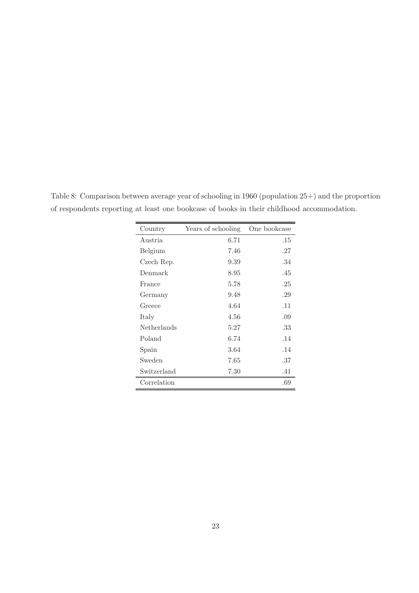| Country     | Years of schooling | One bookcase |
|-------------|--------------------|--------------|
| Austria     | 6.71               | .15          |
| Belgium     | 7.46               | .27          |
| Czech Rep.  | 9.39               | .34          |
| Denmark     | 8.95               | .45          |
| France      | 5.78               | .25          |
| Germany     | 9.48               | .29          |
| Greece      | 4.64               | .11          |
| Italy       | 4.56               | .09          |
| Netherlands | 5.27               | .33          |
| Poland      | 6.74               | .14          |
| Spain       | 3.64               | .14          |
| Sweden      | 7.65               | .37          |
| Switzerland | 7.30               | .41          |
| Correlation |                    | .69          |

Table 8: Comparison between average year of schooling in 1960 (population 25+) and the proportion of respondents reporting at least one bookcase of books in their childhood accommodation.

 $\overline{\phantom{0}}$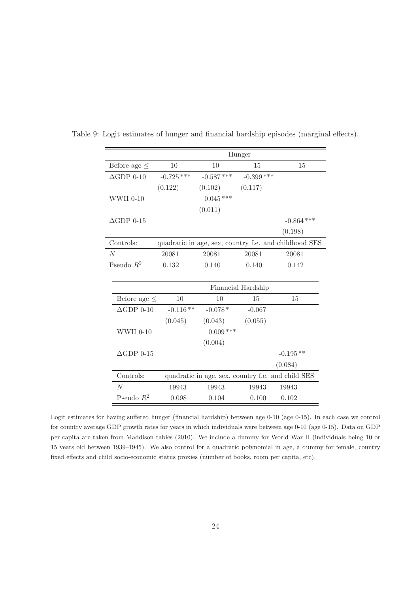|                      |              | Hunger      |                    |                                                       |
|----------------------|--------------|-------------|--------------------|-------------------------------------------------------|
| Before age $\leq$    | 10           | 10          | 15                 | 15                                                    |
| $\triangle$ GDP 0-10 | $-0.725$ *** | $-0.587***$ | $-0.399$ ***       |                                                       |
|                      | (0.122)      | (0.102)     | (0.117)            |                                                       |
| WWII 0-10            |              | $0.045***$  |                    |                                                       |
|                      |              | (0.011)     |                    |                                                       |
| $\triangle$ GDP 0-15 |              |             |                    | $-0.864$ ***                                          |
|                      |              |             |                    | (0.198)                                               |
| Controls:            |              |             |                    | quadratic in age, sex, country f.e. and childhood SES |
| $\overline{N}$       | 20081        | 20081       | 20081              | 20081                                                 |
| Pseudo $R^2$         | 0.132        | 0.140       | 0.140              | 0.142                                                 |
|                      |              |             |                    |                                                       |
|                      |              |             | Financial Hardship |                                                       |
| Before age $\leq$    | 10           | 10          | 15                 | 15                                                    |
| $\Delta$ GDP 0-10    | $-0.116**$   | $-0.078*$   | $-0.067$           |                                                       |
|                      | (0.045)      | (0.043)     | (0.055)            |                                                       |
| WWII 0-10            |              | $0.009$ *** |                    |                                                       |
|                      |              | (0.004)     |                    |                                                       |
| $\triangle$ GDP 0-15 |              |             |                    | $-0.195**$                                            |
|                      |              |             |                    | (0.084)                                               |
| Controls:            |              |             |                    | quadratic in age, sex, country f.e. and child SES     |
| $\overline{N}$       | 19943        | 19943       | 19943              | 19943                                                 |
| Pseudo $R^2$         | 0.098        | 0.104       | 0.100              | 0.102                                                 |

Table 9: Logit estimates of hunger and financial hardship episodes (marginal effects).

Logit estimates for having suffered hunger (financial hardship) between age 0-10 (age 0-15). In each case we control for country average GDP growth rates for years in which individuals were between age 0-10 (age 0-15). Data on GDP per capita are taken from Maddison tables (2010). We include a dummy for World War II (individuals being 10 or 15 years old between 1939–1945). We also control for a quadratic polynomial in age, a dummy for female, country fixed effects and child socio-economic status proxies (number of books, room per capita, etc).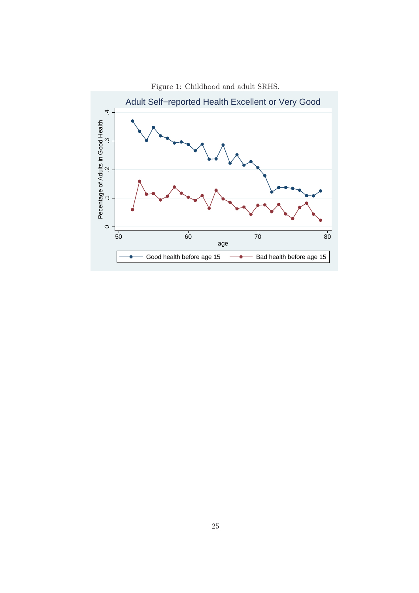

Figure 1: Childhood and adult SRHS.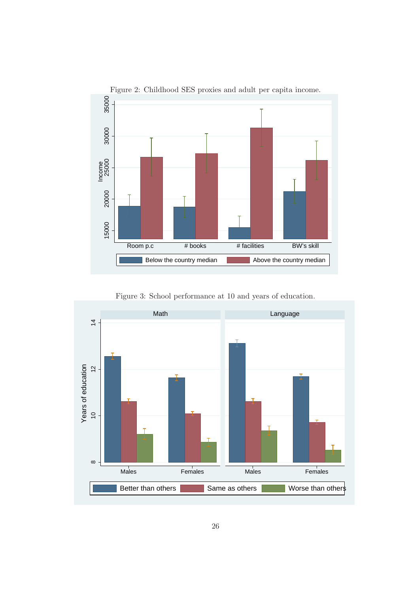

Figure 3: School performance at 10 and years of education.

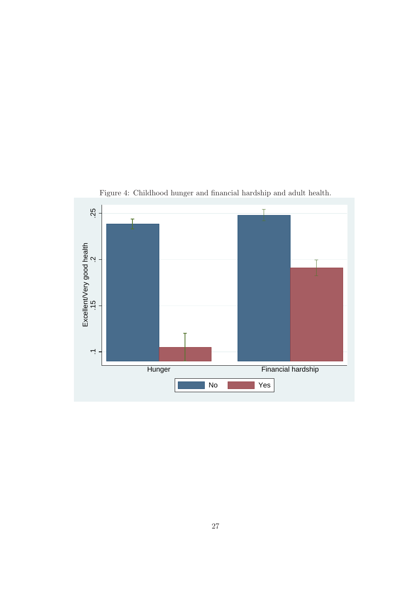

Figure 4: Childhood hunger and financial hardship and adult health.